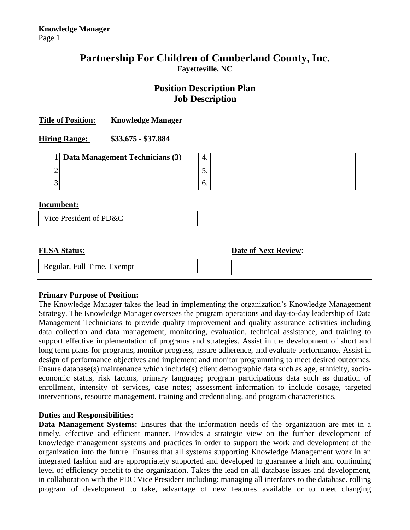# **Partnership For Children of Cumberland County, Inc. Fayetteville, NC**

# **Position Description Plan Job Description**

#### **Title of Position: Knowledge Manager**

#### **Hiring Range: \$33,675 - \$37,884**

| 1. Data Management Technicians (3) | . . |  |
|------------------------------------|-----|--|
|                                    | ◡.  |  |
|                                    | v.  |  |

#### **Incumbent:**

| Vice President of PD&C |  |
|------------------------|--|
|                        |  |

**FLSA Status**: **Date of Next Review**:

Regular, Full Time, Exempt



## **Primary Purpose of Position:**

The Knowledge Manager takes the lead in implementing the organization's Knowledge Management Strategy. The Knowledge Manager oversees the program operations and day-to-day leadership of Data Management Technicians to provide quality improvement and quality assurance activities including data collection and data management, monitoring, evaluation, technical assistance, and training to support effective implementation of programs and strategies. Assist in the development of short and long term plans for programs, monitor progress, assure adherence, and evaluate performance. Assist in design of performance objectives and implement and monitor programming to meet desired outcomes. Ensure database(s) maintenance which include(s) client demographic data such as age, ethnicity, socioeconomic status, risk factors, primary language; program participations data such as duration of enrollment, intensity of services, case notes; assessment information to include dosage, targeted interventions, resource management, training and credentialing, and program characteristics.

### **Duties and Responsibilities:**

**Data Management Systems:** Ensures that the information needs of the organization are met in a timely, effective and efficient manner. Provides a strategic view on the further development of knowledge management systems and practices in order to support the work and development of the organization into the future. Ensures that all systems supporting Knowledge Management work in an integrated fashion and are appropriately supported and developed to guarantee a high and continuing level of efficiency benefit to the organization. Takes the lead on all database issues and development, in collaboration with the PDC Vice President including: managing all interfaces to the database. rolling program of development to take, advantage of new features available or to meet changing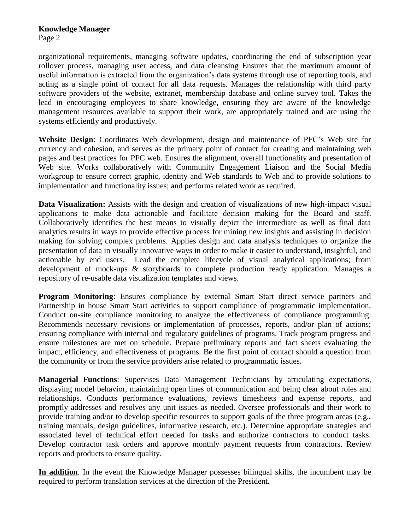organizational requirements, managing software updates, coordinating the end of subscription year rollover process, managing user access, and data cleansing Ensures that the maximum amount of useful information is extracted from the organization's data systems through use of reporting tools, and acting as a single point of contact for all data requests. Manages the relationship with third party software providers of the website, extranet, membership database and online survey tool. Takes the lead in encouraging employees to share knowledge, ensuring they are aware of the knowledge management resources available to support their work, are appropriately trained and are using the systems efficiently and productively.

**Website Design**: Coordinates Web development, design and maintenance of PFC's Web site for currency and cohesion, and serves as the primary point of contact for creating and maintaining web pages and best practices for PFC web. Ensures the alignment, overall functionality and presentation of Web site. Works collaboratively with Community Engagement Liaison and the Social Media workgroup to ensure correct graphic, identity and Web standards to Web and to provide solutions to implementation and functionality issues; and performs related work as required.

**Data Visualization:** Assists with the design and creation of visualizations of new high-impact visual applications to make data actionable and facilitate decision making for the Board and staff. Collaboratively identifies the best means to visually depict the intermediate as well as final data analytics results in ways to provide effective process for mining new insights and assisting in decision making for solving complex problems. Applies design and data analysis techniques to organize the presentation of data in visually innovative ways in order to make it easier to understand, insightful, and actionable by end users. Lead the complete lifecycle of visual analytical applications; from development of mock-ups & storyboards to complete production ready application. Manages a repository of re-usable data visualization templates and views.

**Program Monitoring**: Ensures compliance by external Smart Start direct service partners and Partnership in house Smart Start activities to support compliance of programmatic implementation. Conduct on-site compliance monitoring to analyze the effectiveness of compliance programming. Recommends necessary revisions or implementation of processes, reports, and/or plan of actions; ensuring compliance with internal and regulatory guidelines of programs. Track program progress and ensure milestones are met on schedule. Prepare preliminary reports and fact sheets evaluating the impact, efficiency, and effectiveness of programs. Be the first point of contact should a question from the community or from the service providers arise related to programmatic issues.

**Managerial Functions**: Supervises Data Management Technicians by articulating expectations, displaying model behavior, maintaining open lines of communication and being clear about roles and relationships. Conducts performance evaluations, reviews timesheets and expense reports, and promptly addresses and resolves any unit issues as needed. Oversee professionals and their work to provide training and/or to develop specific resources to support goals of the three program areas (e.g., training manuals, design guidelines, informative research, etc.). Determine appropriate strategies and associated level of technical effort needed for tasks and authorize contractors to conduct tasks. Develop contractor task orders and approve monthly payment requests from contractors. Review reports and products to ensure quality.

**In addition**. In the event the Knowledge Manager possesses bilingual skills, the incumbent may be required to perform translation services at the direction of the President.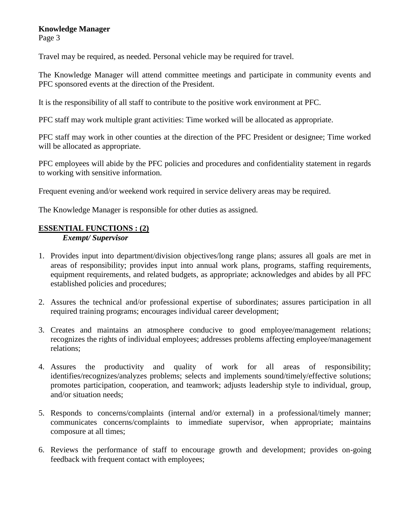# **Knowledge Manager**

Page 3

Travel may be required, as needed. Personal vehicle may be required for travel.

The Knowledge Manager will attend committee meetings and participate in community events and PFC sponsored events at the direction of the President.

It is the responsibility of all staff to contribute to the positive work environment at PFC.

PFC staff may work multiple grant activities: Time worked will be allocated as appropriate.

PFC staff may work in other counties at the direction of the PFC President or designee; Time worked will be allocated as appropriate.

PFC employees will abide by the PFC policies and procedures and confidentiality statement in regards to working with sensitive information.

Frequent evening and/or weekend work required in service delivery areas may be required.

The Knowledge Manager is responsible for other duties as assigned.

# **ESSENTIAL FUNCTIONS : (2)**

*Exempt/ Supervisor*

- 1. Provides input into department/division objectives/long range plans; assures all goals are met in areas of responsibility; provides input into annual work plans, programs, staffing requirements, equipment requirements, and related budgets, as appropriate; acknowledges and abides by all PFC established policies and procedures;
- 2. Assures the technical and/or professional expertise of subordinates; assures participation in all required training programs; encourages individual career development;
- 3. Creates and maintains an atmosphere conducive to good employee/management relations; recognizes the rights of individual employees; addresses problems affecting employee/management relations;
- 4. Assures the productivity and quality of work for all areas of responsibility; identifies/recognizes/analyzes problems; selects and implements sound/timely/effective solutions; promotes participation, cooperation, and teamwork; adjusts leadership style to individual, group, and/or situation needs;
- 5. Responds to concerns/complaints (internal and/or external) in a professional/timely manner; communicates concerns/complaints to immediate supervisor, when appropriate; maintains composure at all times;
- 6. Reviews the performance of staff to encourage growth and development; provides on-going feedback with frequent contact with employees;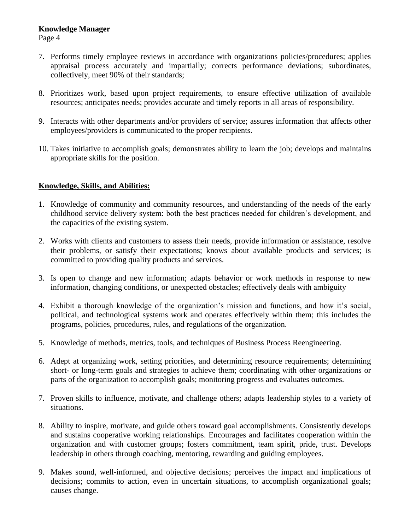### **Knowledge Manager**

Page 4

- 7. Performs timely employee reviews in accordance with organizations policies/procedures; applies appraisal process accurately and impartially; corrects performance deviations; subordinates, collectively, meet 90% of their standards;
- 8. Prioritizes work, based upon project requirements, to ensure effective utilization of available resources; anticipates needs; provides accurate and timely reports in all areas of responsibility.
- 9. Interacts with other departments and/or providers of service; assures information that affects other employees/providers is communicated to the proper recipients.
- 10. Takes initiative to accomplish goals; demonstrates ability to learn the job; develops and maintains appropriate skills for the position.

## **Knowledge, Skills, and Abilities:**

- 1. Knowledge of community and community resources, and understanding of the needs of the early childhood service delivery system: both the best practices needed for children's development, and the capacities of the existing system.
- 2. Works with clients and customers to assess their needs, provide information or assistance, resolve their problems, or satisfy their expectations; knows about available products and services; is committed to providing quality products and services.
- 3. Is open to change and new information; adapts behavior or work methods in response to new information, changing conditions, or unexpected obstacles; effectively deals with ambiguity
- 4. Exhibit a thorough knowledge of the organization's mission and functions, and how it's social, political, and technological systems work and operates effectively within them; this includes the programs, policies, procedures, rules, and regulations of the organization.
- 5. Knowledge of methods, metrics, tools, and techniques of Business Process Reengineering.
- 6. Adept at organizing work, setting priorities, and determining resource requirements; determining short- or long-term goals and strategies to achieve them; coordinating with other organizations or parts of the organization to accomplish goals; monitoring progress and evaluates outcomes.
- 7. Proven skills to influence, motivate, and challenge others; adapts leadership styles to a variety of situations.
- 8. Ability to inspire, motivate, and guide others toward goal accomplishments. Consistently develops and sustains cooperative working relationships. Encourages and facilitates cooperation within the organization and with customer groups; fosters commitment, team spirit, pride, trust. Develops leadership in others through coaching, mentoring, rewarding and guiding employees.
- 9. Makes sound, well-informed, and objective decisions; perceives the impact and implications of decisions; commits to action, even in uncertain situations, to accomplish organizational goals; causes change.